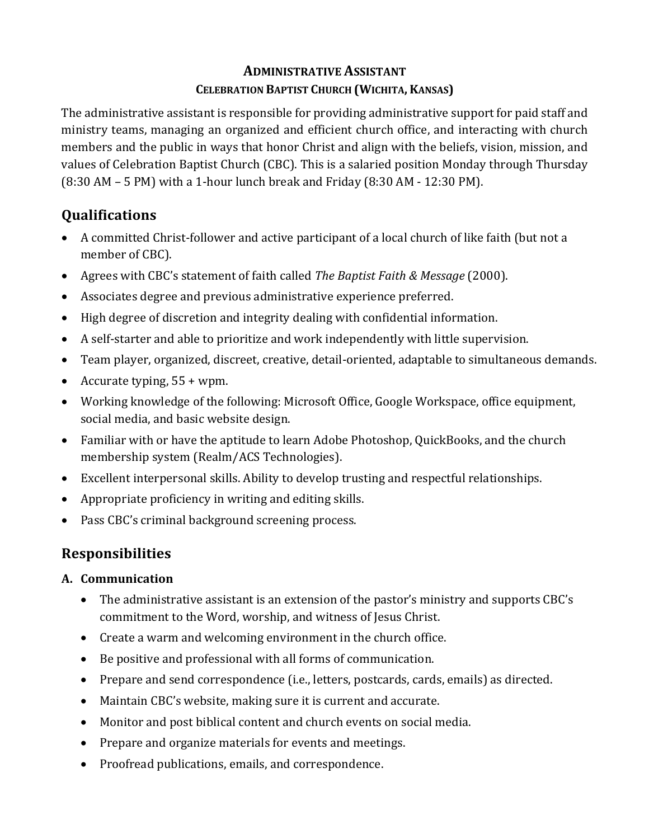## **ADMINISTRATIVE ASSISTANT CELEBRATION BAPTIST CHURCH (WICHITA, KANSAS)**

The administrative assistant is responsible for providing administrative support for paid staff and ministry teams, managing an organized and efficient church office, and interacting with church members and the public in ways that honor Christ and align with the beliefs, vision, mission, and values of Celebration Baptist Church (CBC). This is a salaried position Monday through Thursday  $(8:30$  AM – 5 PM) with a 1-hour lunch break and Friday  $(8:30$  AM - 12:30 PM).

# **Qualifications**

- A committed Christ-follower and active participant of a local church of like faith (but not a member of CBC).
- Agrees with CBC's statement of faith called *The Baptist Faith & Message* (2000).
- Associates degree and previous administrative experience preferred.
- High degree of discretion and integrity dealing with confidential information.
- A self-starter and able to prioritize and work independently with little supervision.
- Team player, organized, discreet, creative, detail-oriented, adaptable to simultaneous demands.
- Accurate typing,  $55 + wpm$ .
- Working knowledge of the following: Microsoft Office, Google Workspace, office equipment, social media, and basic website design.
- Familiar with or have the aptitude to learn Adobe Photoshop, QuickBooks, and the church membership system (Realm/ACS Technologies).
- Excellent interpersonal skills. Ability to develop trusting and respectful relationships.
- Appropriate proficiency in writing and editing skills.
- Pass CBC's criminal background screening process.

## **Responsibilities**

## **A. Communication**

- The administrative assistant is an extension of the pastor's ministry and supports CBC's commitment to the Word, worship, and witness of Jesus Christ.
- Create a warm and welcoming environment in the church office.
- Be positive and professional with all forms of communication.
- Prepare and send correspondence (i.e., letters, postcards, cards, emails) as directed.
- Maintain CBC's website, making sure it is current and accurate.
- Monitor and post biblical content and church events on social media.
- Prepare and organize materials for events and meetings.
- Proofread publications, emails, and correspondence.